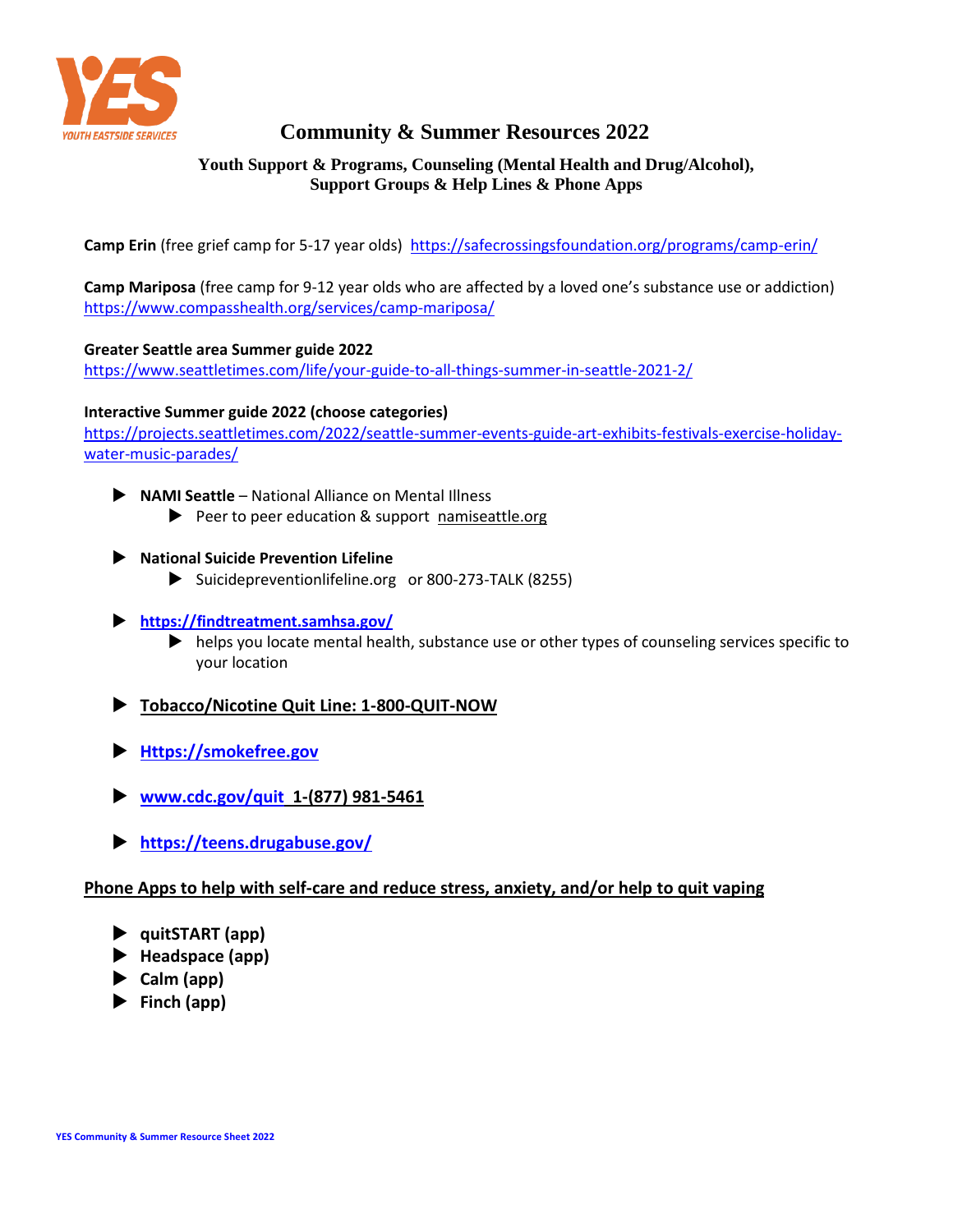

# **Community & Summer Resources 2022**

# **Youth Support & Programs, Counseling (Mental Health and Drug/Alcohol), Support Groups & Help Lines & Phone Apps**

**Camp Erin** (free grief camp for 5-17 year olds)<https://safecrossingsfoundation.org/programs/camp-erin/>

**Camp Mariposa** (free camp for 9-12 year olds who are affected by a loved one's substance use or addiction) <https://www.compasshealth.org/services/camp-mariposa/>

## **Greater Seattle area Summer guide 2022**

<https://www.seattletimes.com/life/your-guide-to-all-things-summer-in-seattle-2021-2/>

## **Interactive Summer guide 2022 (choose categories)**

[https://projects.seattletimes.com/2022/seattle-summer-events-guide-art-exhibits-festivals-exercise-holiday](https://projects.seattletimes.com/2022/seattle-summer-events-guide-art-exhibits-festivals-exercise-holiday-water-music-parades/)[water-music-parades/](https://projects.seattletimes.com/2022/seattle-summer-events-guide-art-exhibits-festivals-exercise-holiday-water-music-parades/)

- **NAMI Seattle**  National Alliance on Mental Illness
	- $\blacktriangleright$  Peer to peer education & support namiseattle.org
- **National Suicide Prevention Lifeline**
	- Suicidepreventionlifeline.org or 800-273-TALK (8255)
- **<https://findtreatment.samhsa.gov/>**
	- helps you locate mental health, substance use or other types of counseling services specific to your location
- **Tobacco/Nicotine Quit Line: 1-800-QUIT-NOW**
- **[Https://smokefree.gov](https://smokefree.gov/)**
- **[www.cdc.gov/quit](http://www.cdc.gov/quit) 1-(877) 981-5461**
- **<https://teens.drugabuse.gov/>**

## **Phone Apps to help with self-care and reduce stress, anxiety, and/or help to quit vaping**

- **quitSTART (app)**
- **Headspace (app)**
- **Calm (app)**
- **Finch (app)**